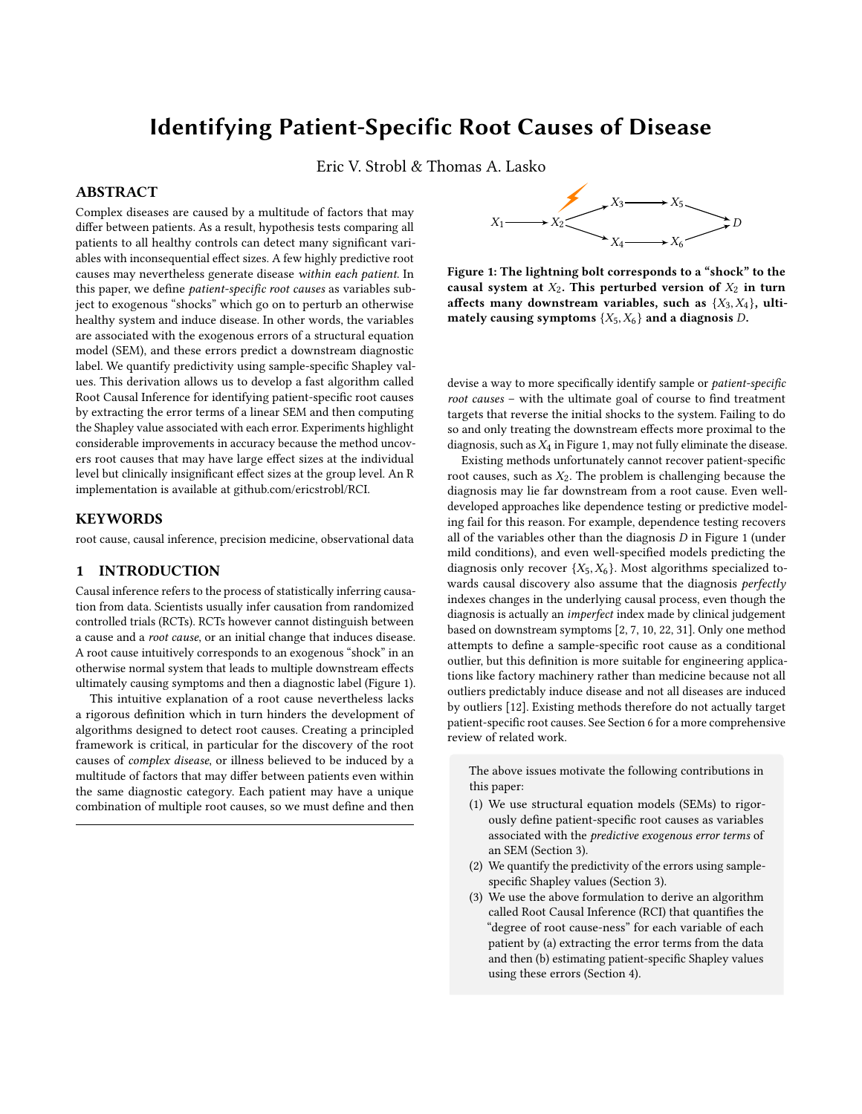# Identifying Patient-Specific Root Causes of Disease

Eric V. Strobl & Thomas A. Lasko

# ABSTRACT

Complex diseases are caused by a multitude of factors that may differ between patients. As a result, hypothesis tests comparing all patients to all healthy controls can detect many significant variables with inconsequential effect sizes. A few highly predictive root causes may nevertheless generate disease within each patient. In this paper, we define patient-specific root causes as variables subject to exogenous "shocks" which go on to perturb an otherwise healthy system and induce disease. In other words, the variables are associated with the exogenous errors of a structural equation model (SEM), and these errors predict a downstream diagnostic label. We quantify predictivity using sample-specific Shapley values. This derivation allows us to develop a fast algorithm called Root Causal Inference for identifying patient-specific root causes by extracting the error terms of a linear SEM and then computing the Shapley value associated with each error. Experiments highlight considerable improvements in accuracy because the method uncovers root causes that may have large effect sizes at the individual level but clinically insignificant effect sizes at the group level. An R implementation is available at github.com/ericstrobl/RCI.

## KEYWORDS

root cause, causal inference, precision medicine, observational data

# 1 INTRODUCTION

Causal inference refers to the process of statistically inferring causation from data. Scientists usually infer causation from randomized controlled trials (RCTs). RCTs however cannot distinguish between a cause and a root cause, or an initial change that induces disease. A root cause intuitively corresponds to an exogenous "shock" in an otherwise normal system that leads to multiple downstream effects ultimately causing symptoms and then a diagnostic label (Figure [1\)](#page-0-0).

This intuitive explanation of a root cause nevertheless lacks a rigorous definition which in turn hinders the development of algorithms designed to detect root causes. Creating a principled framework is critical, in particular for the discovery of the root causes of complex disease, or illness believed to be induced by a multitude of factors that may differ between patients even within the same diagnostic category. Each patient may have a unique combination of multiple root causes, so we must define and then

<span id="page-0-0"></span>

Figure 1: The lightning bolt corresponds to a "shock" to the causal system at  $X_2$ . This perturbed version of  $X_2$  in turn affects many downstream variables, such as  $\{X_3, X_4\}$ , ultimately causing symptoms  $\{X_5, X_6\}$  and a diagnosis D.

devise a way to more specifically identify sample or patient-specific root causes – with the ultimate goal of course to find treatment targets that reverse the initial shocks to the system. Failing to do so and only treating the downstream effects more proximal to the diagnosis, such as  $X_4$  in Figure [1,](#page-0-0) may not fully eliminate the disease.

Existing methods unfortunately cannot recover patient-specific root causes, such as  $X_2$ . The problem is challenging because the diagnosis may lie far downstream from a root cause. Even welldeveloped approaches like dependence testing or predictive modeling fail for this reason. For example, dependence testing recovers all of the variables other than the diagnosis  $D$  in Figure [1](#page-0-0) (under mild conditions), and even well-specified models predicting the diagnosis only recover  $\{X_5, X_6\}$ . Most algorithms specialized towards causal discovery also assume that the diagnosis perfectly indexes changes in the underlying causal process, even though the diagnosis is actually an imperfect index made by clinical judgement based on downstream symptoms [\[2,](#page-8-0) [7,](#page-8-1) [10,](#page-8-2) [22,](#page-8-3) [31\]](#page-8-4). Only one method attempts to define a sample-specific root cause as a conditional outlier, but this definition is more suitable for engineering applications like factory machinery rather than medicine because not all outliers predictably induce disease and not all diseases are induced by outliers [\[12\]](#page-8-5). Existing methods therefore do not actually target patient-specific root causes. See Section [6](#page-4-0) for a more comprehensive review of related work.

The above issues motivate the following contributions in this paper:

- (1) We use structural equation models (SEMs) to rigorously define patient-specific root causes as variables associated with the predictive exogenous error terms of an SEM (Section [3\)](#page-1-0).
- (2) We quantify the predictivity of the errors using samplespecific Shapley values (Section [3\)](#page-1-0).
- (3) We use the above formulation to derive an algorithm called Root Causal Inference (RCI) that quantifies the "degree of root cause-ness" for each variable of each patient by (a) extracting the error terms from the data and then (b) estimating patient-specific Shapley values using these errors (Section [4\)](#page-2-0).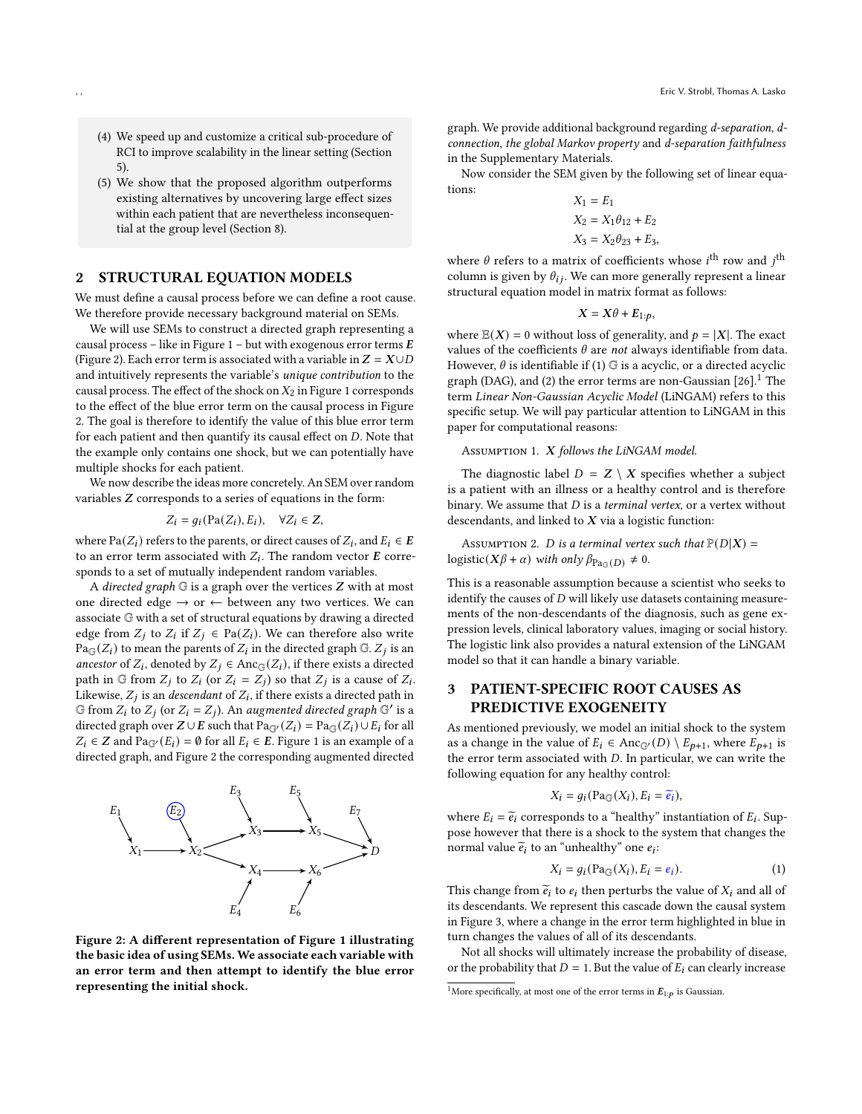- (4) We speed up and customize a critical sub-procedure of RCI to improve scalability in the linear setting (Section [5\)](#page-2-1).
- (5) We show that the proposed algorithm outperforms existing alternatives by uncovering large effect sizes within each patient that are nevertheless inconsequential at the group level (Section [8\)](#page-5-0).

# STRUCTURAL EQUATION MODELS

We must define a causal process before we can define a root cause. We therefore provide necessary background material on SEMs.

We will use SEMs to construct a directed graph representing a causal process – like in Figure [1](#page-0-0) – but with exogenous error terms  $E$ (Figure [2\)](#page-1-1). Each error term is associated with a variable in  $Z = X \cup D$ and intuitively represents the variable's unique contribution to the causal process. The effect of the shock on  $X_2$  in Figure [1](#page-0-0) corresponds to the effect of the blue error term on the causal process in Figure [2.](#page-1-1) The goal is therefore to identify the value of this blue error term for each patient and then quantify its causal effect on  $D$ . Note that the example only contains one shock, but we can potentially have multiple shocks for each patient.

We now describe the ideas more concretely. An SEM over random variables  $Z$  corresponds to a series of equations in the form:

$$
Z_i = g_i(\text{Pa}(Z_i), E_i), \quad \forall Z_i \in Z,
$$

where Pa $(Z_i)$  refers to the parents, or direct causes of  $Z_i$ , and  $E_i \in E$ to an error term associated with  $Z_i$ . The random vector  $\bm E$  corresponds to a set of mutually independent random variables.

A directed graph  $G$  is a graph over the vertices  $Z$  with at most one directed edge  $\rightarrow$  or  $\leftarrow$  between any two vertices. We can associate G with a set of structural equations by drawing a directed edge from  $Z_i$  to  $Z_i$  if  $Z_i \in Pa(Z_i)$ . We can therefore also write  $Pa_{\mathbb{G}}(Z_i)$  to mean the parents of  $Z_i$  in the directed graph  $\mathbb{G}$ .  $Z_j$  is an ancestor of  $Z_i$ , denoted by  $Z_i \in \text{Anc}_{\mathbb{G}}(Z_i)$ , if there exists a directed path in  $\mathbb G$  from  $Z_i$  to  $Z_i$  (or  $Z_i = Z_i$ ) so that  $Z_i$  is a cause of  $Z_i$ . Likewise,  $Z_j$  is an *descendant* of  $Z_i$ , if there exists a directed path in  $G$  from  $Z_i$  to  $Z_j$  (or  $Z_i = Z_j$ ). An augmented directed graph  $G'$  is a directed graph over  $Z \cup E$  such that  $Pa_{\mathbb{G}'}(Z_i) = Pa_{\mathbb{G}'}(Z_i) \cup E_i$  for all  $Z_i \in \mathbb{Z}$  and  $\text{Pa}_{\mathbb{G}'}(E_i) = \emptyset$  for all  $E_i \in E$ . Figure [1](#page-0-0) is an example of a directed graph, and Figure [2](#page-1-1) the corresponding augmented directed

<span id="page-1-1"></span>

Figure 2: A different representation of Figure [1](#page-0-0) illustrating the basic idea of using SEMs. We associate each variable with an error term and then attempt to identify the blue error representing the initial shock.

graph. We provide additional background regarding d-separation, dconnection, the global Markov property and d-separation faithfulness in the Supplementary Materials.

Now consider the SEM given by the following set of linear equations:

$$
X_1 = E_1
$$
  
\n
$$
X_2 = X_1 \theta_{12} + E_2
$$
  
\n
$$
X_3 = X_2 \theta_{23} + E_3
$$

where  $\theta$  refers to a matrix of coefficients whose *i*<sup>th</sup> row and *j*<sup>th</sup> column is given by  $\theta_{ij}$ . We can more generally represent a linear structural equation model in matrix format as follows:

$$
X=X\theta+E_{1:p},
$$

where  $\mathbb{E}(X) = 0$  without loss of generality, and  $p = |X|$ . The exact values of the coefficients  $\theta$  are not always identifiable from data. However,  $\theta$  is identifiable if (1)  $\mathbb G$  is a acyclic, or a directed acyclic graph (DAG), and (2) the error terms are non-Gaussian  $[26]$ <sup>[1](#page-1-2)</sup>. The term Linear Non-Gaussian Acyclic Model (LiNGAM) refers to this specific setup. We will pay particular attention to LiNGAM in this paper for computational reasons:

#### <span id="page-1-3"></span>Assumption 1. X follows the LiNGAM model.

The diagnostic label  $D = Z \setminus X$  specifies whether a subject is a patient with an illness or a healthy control and is therefore binary. We assume that  $D$  is a terminal vertex, or a vertex without descendants, and linked to  $X$  via a logistic function:

<span id="page-1-4"></span>ASSUMPTION 2. *D* is a terminal vertex such that  $P(D|X) =$ logistic( $X\beta + \alpha$ ) with only  $\beta_{\text{Pa}_{\text{G}}(D)} \neq 0$ .

This is a reasonable assumption because a scientist who seeks to identify the causes of  $D$  will likely use datasets containing measurements of the non-descendants of the diagnosis, such as gene expression levels, clinical laboratory values, imaging or social history. The logistic link also provides a natural extension of the LiNGAM model so that it can handle a binary variable.

# <span id="page-1-0"></span>3 PATIENT-SPECIFIC ROOT CAUSES AS PREDICTIVE EXOGENEITY

As mentioned previously, we model an initial shock to the system as a change in the value of  $E_i \in \text{Anc}_{\mathbb{G}'}(D) \setminus E_{p+1}$ , where  $E_{p+1}$  is the error term associated with  $D$ . In particular, we can write the following equation for any healthy control:

<span id="page-1-5"></span>
$$
X_i = g_i(\text{Pa}_{\mathbb{G}}(X_i), E_i = \widetilde{e}_i),
$$

where  $E_i = \tilde{e}_i$  corresponds to a "healthy" instantiation of  $E_i$ . Sup-<br>nose however that there is a shock to the system that shapes the pose however that there is a shock to the system that changes the normal value  $\tilde{e}_i$  to an "unhealthy" one  $e_i$ :

$$
X_i = g_i(\text{Pa}_{\mathbb{G}}(X_i), E_i = e_i). \tag{1}
$$

This change from  $\tilde{e}_i$  to  $e_i$  then perturbs the value of  $X_i$  and all of its descendants. We represent this cascade down the causal system in Figure [3,](#page-2-2) where a change in the error term highlighted in blue in turn changes the values of all of its descendants.

Not all shocks will ultimately increase the probability of disease, or the probability that  $D = 1$ . But the value of  $E_i$  can clearly increase

<span id="page-1-2"></span><sup>&</sup>lt;sup>1</sup>More specifically, at most one of the error terms in  $E_{1:p}$  is Gaussian.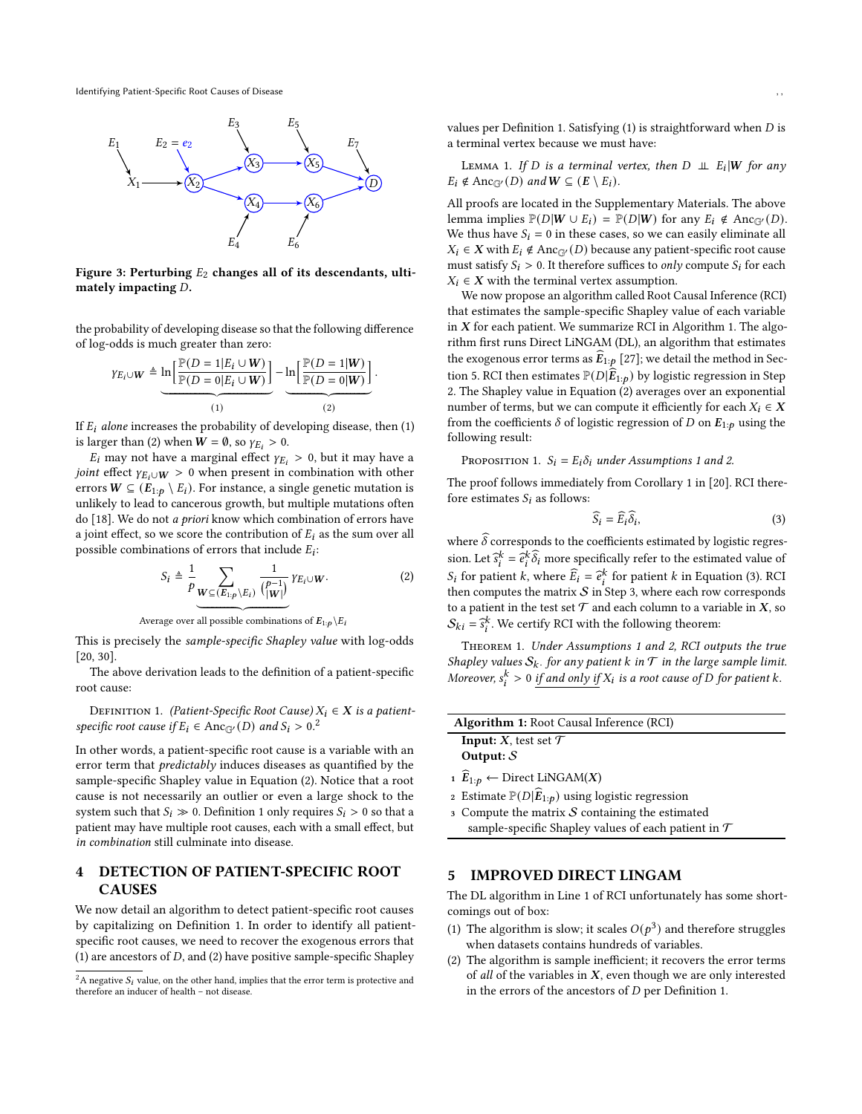<span id="page-2-2"></span>

Figure 3: Perturbing  $E_2$  changes all of its descendants, ultimately impacting  $D$ .

the probability of developing disease so that the following difference of log-odds is much greater than zero:

<span id="page-2-4"></span>
$$
\gamma_{E_i \cup W} \triangleq \underbrace{\ln \left[ \frac{\mathbb{P}(D = 1 | E_i \cup W)}{\mathbb{P}(D = 0 | E_i \cup W)} \right]}_{(1)} - \underbrace{\ln \left[ \frac{\mathbb{P}(D = 1 | W)}{\mathbb{P}(D = 0 | W)} \right]}_{(2)}
$$

If  $E_i$  alone increases the probability of developing disease, then (1) is larger than (2) when  $W = \emptyset$ , so  $\gamma_{E_i} > 0$ .

 $E_i$  may not have a marginal effect  $\gamma_{E_i} > 0$ , but it may have a *joint* effect  $\gamma_{E_i \cup W} > 0$  when present in combination with other errors  $W \subseteq (E_{1:p} \setminus E_i)$ . For instance, a single genetic mutation is unlikely to lead to cancerous growth, but multiple mutations often do [\[18\]](#page-8-7). We do not a priori know which combination of errors have a joint effect, so we score the contribution of  $E_i$  as the sum over all possible combinations of errors that include  $E_i$ :

$$
S_i \triangleq \frac{1}{p} \sum_{\mathbf{W} \subseteq (E_{1:p} \setminus E_i)} \frac{1}{\binom{p-1}{|\mathbf{W}|}} Y_{E_i \cup \mathbf{W}}.
$$
 (2)

.

Average over all possible combinations of  $E_{1:p} \backslash E_i$ 

This is precisely the sample-specific Shapley value with log-odds [\[20,](#page-8-8) [30\]](#page-8-9).

The above derivation leads to the definition of a patient-specific root cause:

<span id="page-2-5"></span>DEFINITION 1. (Patient-Specific Root Cause)  $X_i \in X$  is a patientspecific root cause if  $E_i \in \text{Anc}_{\mathbb{G}'}(D)$  and  $S_i > 0.2$  $S_i > 0.2$ 

In other words, a patient-specific root cause is a variable with an error term that predictably induces diseases as quantified by the sample-specific Shapley value in Equation [\(2\)](#page-2-4). Notice that a root cause is not necessarily an outlier or even a large shock to the system such that  $S_i \gg 0$ . Definition [1](#page-2-5) only requires  $S_i > 0$  so that a patient may have multiple root causes, each with a small effect, but in combination still culminate into disease.

# <span id="page-2-0"></span>4 DETECTION OF PATIENT-SPECIFIC ROOT CAUSES

We now detail an algorithm to detect patient-specific root causes by capitalizing on Definition [1.](#page-2-5) In order to identify all patientspecific root causes, we need to recover the exogenous errors that (1) are ancestors of  $D$ , and (2) have positive sample-specific Shapley

values per Definition [1.](#page-2-5) Satisfying  $(1)$  is straightforward when  $D$  is a terminal vertex because we must have:

<span id="page-2-11"></span>LEMMA 1. If D is a terminal vertex, then  $D \perp\!\!\!\perp E_i | W$  for any  $E_i \notin \text{Anc}_{\mathbb{G}^{\vee}}(D)$  and  $W \subseteq (E \setminus E_i)$ .

All proofs are located in the Supplementary Materials. The above lemma implies  $\mathbb{P}(D|W \cup E_i) = \mathbb{P}(D|W)$  for any  $E_i \notin \text{Anc}_{\mathbb{G}'}(D)$ . We thus have  $S_i = 0$  in these cases, so we can easily eliminate all  $X_i \in X$  with  $E_i \notin \text{Anc}_{\mathbb{G}'}(D)$  because any patient-specific root cause must satisfy  $S_i > 0$ . It therefore suffices to *only* compute  $S_i$  for each  $X_i \in X$  with the terminal vertex assumption.

We now propose an algorithm called Root Causal Inference (RCI) that estimates the sample-specific Shapley value of each variable in  $X$  for each patient. We summarize RCI in Algorithm [1.](#page-2-6) The algorithm first runs Direct LiNGAM (DL), an algorithm that estimates the exogenous error terms as  $E_{1:p}$  [\[27\]](#page-8-10); we detail the method in Sec-tion [5.](#page-2-1) RCI then estimates  $\mathbb{P}(D|\widehat{E}_{1:p})$  by logistic regression in Step [2.](#page-2-7) The Shapley value in Equation [\(2\)](#page-2-4) averages over an exponential number of terms, but we can compute it efficiently for each  $X_i \in X$ from the coefficients  $\delta$  of logistic regression of D on  $E_{1:p}$  using the following result:

<span id="page-2-13"></span>PROPOSITION [1](#page-1-3).  $S_i = E_i \delta_i$  under Assumptions 1 and [2.](#page-1-4)

The proof follows immediately from Corollary 1 in [\[20\]](#page-8-8). RCI therefore estimates  $S_i$  as follows:

<span id="page-2-8"></span>
$$
\widehat{S}_i = \widehat{E}_i \widehat{\delta}_i,\tag{3}
$$

where  $\widehat{\delta}$  corresponds to the coefficients estimated by logistic regression. Let  $\hat{s}_i^k = \hat{e}_i^k \hat{\delta}_i$  more specifically refer to the estimated value of  $S_i$  for patient k, where  $\widehat{E}_i = \widehat{e}_k^k$  for patient k in Equation [\(3\)](#page-2-8). RCI<br>than computes the matrix S in Stap 2, where each row corresponde then computes the matrix  $S$  in Step [3,](#page-2-9) where each row corresponds to a patient in the test set  $\mathcal T$  and each column to a variable in  $X,$  so  $S_{ki} = \hat{s}_i^k$ . We certify RCI with the following theorem:

<span id="page-2-12"></span>Theorem 1. Under Assumptions [1](#page-1-3) and [2,](#page-1-4) RCI outputs the true Shapley values  $\mathcal{S}_k$ . for any patient k in  $\mathcal T$  in the large sample limit. Moreover,  $s_i^k > 0$  if and only if  $X_i$  is a root cause of D for patient k.

| <b>Algorithm 1:</b> Root Causal Inference (RCI)                                                                                        |  |
|----------------------------------------------------------------------------------------------------------------------------------------|--|
| <b>Input:</b> $X$ , test set $\mathcal T$                                                                                              |  |
| Output: $S$                                                                                                                            |  |
| $\mathbf{r}$ $\mathbf{r}$ $\mathbf{r}$ $\mathbf{r}$ $\mathbf{r}$ $\mathbf{r}$ $\mathbf{r}$ $\mathbf{r}$ $\mathbf{r}$<br>$\mathbf{r}$ . |  |

- <span id="page-2-10"></span>1  $E_{1:p}$  ← Direct LiNGAM(X)
- <span id="page-2-7"></span>2 Estimate  $\mathbb{P}(D|\widehat{\boldsymbol{E}}_{1:p})$  using logistic regression
- <span id="page-2-9"></span><span id="page-2-6"></span> $3$  Compute the matrix  $S$  containing the estimated sample-specific Shapley values of each patient in  $\mathcal T$

### <span id="page-2-1"></span>5 IMPROVED DIRECT LINGAM

The DL algorithm in Line [1](#page-2-10) of RCI unfortunately has some shortcomings out of box:

- (1) The algorithm is slow; it scales  $O(p^3)$  and therefore struggles when datasets contains hundreds of variables.
- (2) The algorithm is sample inefficient; it recovers the error terms of all of the variables in  $X$ , even though we are only interested in the errors of the ancestors of  $D$  per Definition [1.](#page-2-5)

<span id="page-2-3"></span><sup>&</sup>lt;sup>2</sup>A negative  $S_i$  value, on the other hand, implies that the error term is protective and therefore an inducer of health – not disease.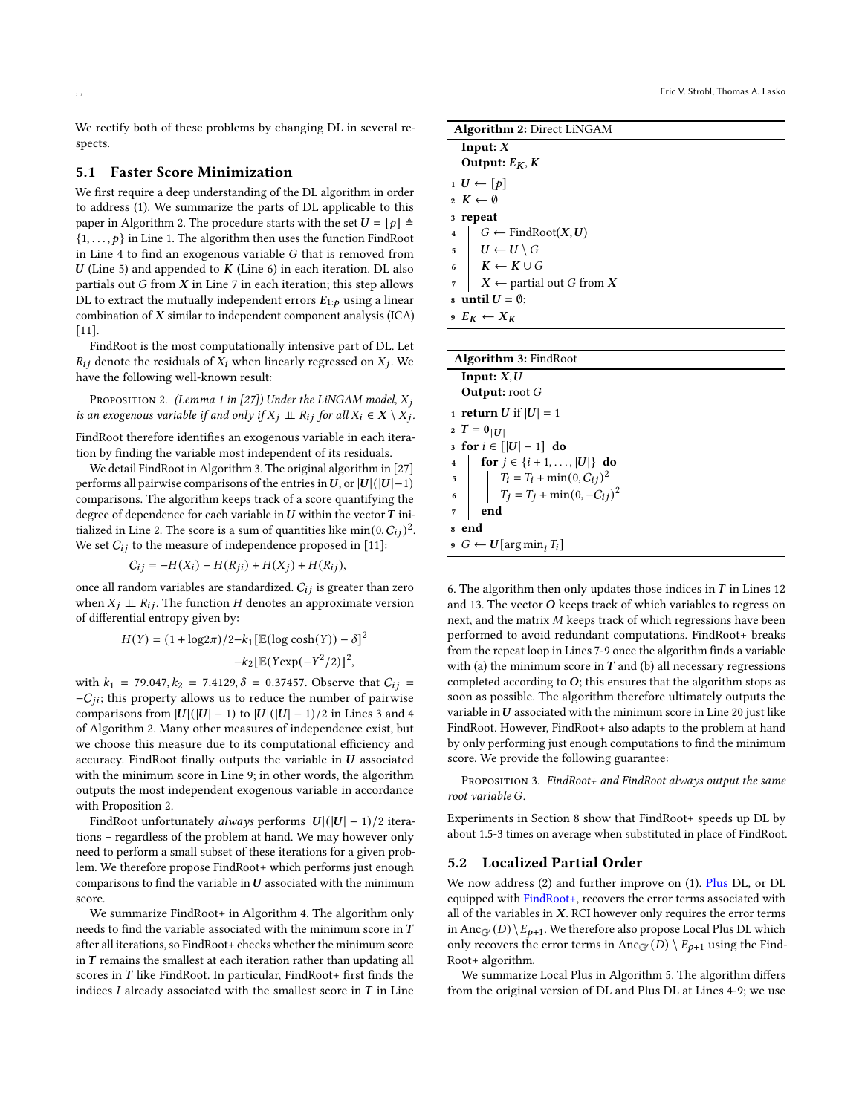We rectify both of these problems by changing DL in several respects.

## 5.1 Faster Score Minimization

We first require a deep understanding of the DL algorithm in order to address (1). We summarize the parts of DL applicable to this paper in Algorithm [2.](#page-3-0) The procedure starts with the set  $U = [p] \triangleq$  $\{1, \ldots, p\}$  in Line [1.](#page-3-1) The algorithm then uses the function FindRoot in Line [4](#page-3-2) to find an exogenous variable  $G$  that is removed from  $U$  (Line [5\)](#page-3-3) and appended to  $K$  (Line [6\)](#page-3-4) in each iteration. DL also partials out  $G$  from  $X$  in Line [7](#page-3-5) in each iteration; this step allows DL to extract the mutually independent errors  $E_{1:p}$  using a linear combination of  $X$  similar to independent component analysis (ICA) [\[11\]](#page-8-11).

FindRoot is the most computationally intensive part of DL. Let  $R_{ij}$  denote the residuals of  $X_i$  when linearly regressed on  $X_i$ . We have the following well-known result:

<span id="page-3-11"></span>PROPOSITION 2. (Lemma 1 in [\[27\]](#page-8-10)) Under the LiNGAM model,  $X_i$ is an exogenous variable if and only if  $X_j \perp\!\!\!\perp R_{ij}$  for all  $X_i \in X \setminus X_j$ .

FindRoot therefore identifies an exogenous variable in each iteration by finding the variable most independent of its residuals.

We detail FindRoot in Algorithm [3.](#page-3-6) The original algorithm in [\[27\]](#page-8-10) performs all pairwise comparisons of the entries in U, or  $|U|(|U|-1)$ comparisons. The algorithm keeps track of a score quantifying the degree of dependence for each variable in  $\boldsymbol{U}$  within the vector  $\boldsymbol{T}$  ini-tialized in Line [2.](#page-3-7) The score is a sum of quantities like min $(0, C_{ii})^2$ . We set  $C_{ij}$  to the measure of independence proposed in [\[11\]](#page-8-11):

 $C_{ij} = -H(X_i) - H(R_{ji}) + H(X_i) + H(R_{ij}),$ 

once all random variables are standardized.  $C_{ij}$  is greater than zero when  $X_i \perp R_{ij}$ . The function H denotes an approximate version of differential entropy given by:

$$
H(Y) = (1 + \log 2\pi)/2 - k_1 [\mathbb{E}(\log \cosh(Y)) - \delta]^2 - k_2 [\mathbb{E}(Y \exp(-Y^2/2))]^2,
$$

with  $k_1$  = 79.047,  $k_2$  = 7.4129,  $\delta$  = 0.37457. Observe that  $C_{ij}$  =  $-C_{ii}$ ; this property allows us to reduce the number of pairwise comparisons from  $|U|(|U|-1)$  to  $|U|(|U|-1)/2$  in Lines [3](#page-3-8) and [4](#page-3-9) of Algorithm [2.](#page-3-0) Many other measures of independence exist, but we choose this measure due to its computational efficiency and accuracy. FindRoot finally outputs the variable in  $U$  associated with the minimum score in Line [9;](#page-3-10) in other words, the algorithm outputs the most independent exogenous variable in accordance with Proposition [2.](#page-3-11)

FindRoot unfortunately *always* performs  $|U|(|U| - 1)/2$  iterations – regardless of the problem at hand. We may however only need to perform a small subset of these iterations for a given problem. We therefore propose FindRoot+ which performs just enough comparisons to find the variable in  $U$  associated with the minimum score.

We summarize FindRoot+ in Algorithm [4.](#page-4-1) The algorithm only needs to find the variable associated with the minimum score in  $\cal T$ after all iterations, so FindRoot+ checks whether the minimum score in  $T$  remains the smallest at each iteration rather than updating all scores in  $T$  like FindRoot. In particular, FindRoot+ first finds the indices  $I$  already associated with the smallest score in  $T$  in Line

<span id="page-3-3"></span><span id="page-3-2"></span><span id="page-3-1"></span>

| <b>Algorithm 2: Direct LiNGAM</b>                               |  |  |  |  |  |  |  |
|-----------------------------------------------------------------|--|--|--|--|--|--|--|
| Input: $X$                                                      |  |  |  |  |  |  |  |
| Output: $E_K$ , $K$                                             |  |  |  |  |  |  |  |
| $1 U \leftarrow [p]$                                            |  |  |  |  |  |  |  |
| $2 K \leftarrow \emptyset$                                      |  |  |  |  |  |  |  |
| 3 repeat                                                        |  |  |  |  |  |  |  |
| $G \leftarrow$ FindRoot $(X, U)$<br>$\overline{\mathbf{4}}$     |  |  |  |  |  |  |  |
| $\begin{array}{c c} 5 & U \leftarrow U \setminus G \end{array}$ |  |  |  |  |  |  |  |
| $\mid K \leftarrow K \cup G$<br>$\overline{6}$                  |  |  |  |  |  |  |  |
| $\mid X \leftarrow$ partial out G from X<br>$\overline{7}$      |  |  |  |  |  |  |  |
| s until $U = \emptyset$ ;                                       |  |  |  |  |  |  |  |
| $9 E_K \leftarrow X_K$                                          |  |  |  |  |  |  |  |
|                                                                 |  |  |  |  |  |  |  |
| <b>Algorithm 3: FindRoot</b>                                    |  |  |  |  |  |  |  |
| Innut: X II                                                     |  |  |  |  |  |  |  |

<span id="page-3-9"></span><span id="page-3-8"></span><span id="page-3-7"></span><span id="page-3-5"></span><span id="page-3-4"></span><span id="page-3-0"></span>

| Input: $X, U$                                                                                                                                |  |  |  |  |  |  |
|----------------------------------------------------------------------------------------------------------------------------------------------|--|--|--|--|--|--|
| <b>Output:</b> root $G$                                                                                                                      |  |  |  |  |  |  |
| 1 <b>return</b> <i>U</i> if $ U  = 1$                                                                                                        |  |  |  |  |  |  |
| 2 $T = 0 _{ U }$                                                                                                                             |  |  |  |  |  |  |
| 3 for $i \in [ U -1]$ do                                                                                                                     |  |  |  |  |  |  |
|                                                                                                                                              |  |  |  |  |  |  |
|                                                                                                                                              |  |  |  |  |  |  |
| 4 <b>for</b> $j \in \{i+1,, U \}$ <b>do</b><br>5 <b>for</b> $T_i = T_i + \min(0, C_{ij})^2$<br>6 <b>for</b> $T_j = T_j + \min(0, -C_{ij})^2$ |  |  |  |  |  |  |
| end                                                                                                                                          |  |  |  |  |  |  |
| 8 end                                                                                                                                        |  |  |  |  |  |  |
| $\theta$ $\theta$ $\leftarrow$ U [arg min, $T_i$ ]                                                                                           |  |  |  |  |  |  |

<span id="page-3-10"></span><span id="page-3-6"></span>[6.](#page-4-2) The algorithm then only updates those indices in  $T$  in Lines [12](#page-4-3) and [13.](#page-4-4) The vector  $O$  keeps track of which variables to regress on next, and the matrix  $M$  keeps track of which regressions have been performed to avoid redundant computations. FindRoot+ breaks from the repeat loop in Lines [7](#page-4-5)[-9](#page-4-6) once the algorithm finds a variable with (a) the minimum score in  $T$  and (b) all necessary regressions completed according to  $O$ ; this ensures that the algorithm stops as soon as possible. The algorithm therefore ultimately outputs the variable in  $U$  associated with the minimum score in Line [20](#page-4-7) just like FindRoot. However, FindRoot+ also adapts to the problem at hand by only performing just enough computations to find the minimum score. We provide the following guarantee:

<span id="page-3-12"></span>PROPOSITION 3. FindRoot+ and FindRoot always output the same root variable G.

Experiments in Section [8](#page-5-0) show that FindRoot+ speeds up DL by about 1.5-3 times on average when substituted in place of FindRoot.

## 5.2 Localized Partial Order

We now address (2) and further improve on (1). Plus DL, or DL equipped with FindRoot+, recovers the error terms associated with all of the variables in  $X$ . RCI however only requires the error terms in Anc<sub>G'</sub> (D)  $\setminus E_{p+1}$ . We therefore also propose Local Plus DL which only recovers the error terms in Anc<sub>G'</sub> $(D) \setminus E_{p+1}$  using the Find-Root+ algorithm.

We summarize Local Plus in Algorithm [5.](#page-4-8) The algorithm differs from the original version of DL and Plus DL at Lines [4-](#page-4-9)[9;](#page-4-10) we use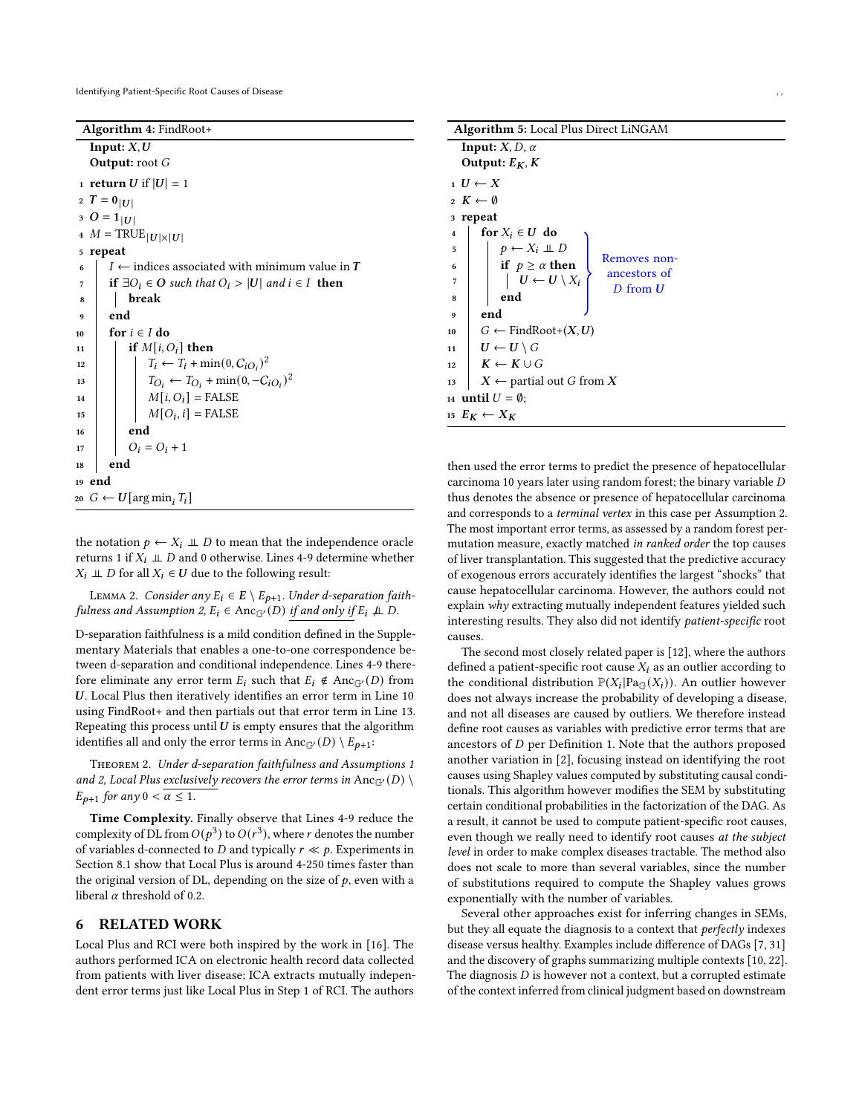Identifying Patient-Specific Root Causes of Disease

Algorithm 4: FindRoot+

<span id="page-4-6"></span><span id="page-4-5"></span><span id="page-4-2"></span>

|                | Input: $X, U$                                                    |
|----------------|------------------------------------------------------------------|
|                | <b>Output:</b> root $G$                                          |
|                | 1 <b>return</b> U if $ U  = 1$                                   |
|                | 2 $T = 0 U $                                                     |
|                | 3 O = $1_{ U }$                                                  |
|                | 4 $M = \text{TRUE}_{ U  \times  U }$                             |
|                | 5 repeat                                                         |
| 6              | $I \leftarrow$ indices associated with minimum value in <b>T</b> |
| $\overline{7}$ | if $\exists O_i \in O$ such that $O_i >  U $ and $i \in I$ then  |
| 8              | break                                                            |
| 9              | end                                                              |
| 10             | for $i \in I$ do                                                 |
| 11             | if $M[i, O_i]$ then                                              |
| 12             | $T_i \leftarrow T_i + \min(0, C_{iO_i})^2$                       |
| 13             | $T_{O_i} \leftarrow T_{O_i} + \min(0, -C_{iO_i})^2$              |
| 14             | $M[i, O_i] = \text{FALSE}$                                       |
| 15             | $M[O_i, i]$ = FALSE                                              |
| 16             | end                                                              |
| 17             | $O_i = O_i + 1$                                                  |
| 18             | end                                                              |
|                | 19 end                                                           |
|                | 20 $G \leftarrow U[\arg\min_i T_i]$                              |
|                |                                                                  |

<span id="page-4-7"></span><span id="page-4-4"></span><span id="page-4-3"></span><span id="page-4-1"></span>the notation  $p \leftarrow X_i \perp D$  to mean that the independence oracle returns 1 if  $X_i \perp \!\!\! \perp D$  and 0 otherwise. Lines [4](#page-4-9)[-9](#page-4-10) determine whether  $X_i \perp\!\!\!\perp D$  for all  $X_i \in U$  due to the following result:

<span id="page-4-13"></span>LEMMA 2. Consider any  $E_i \in E \setminus E_{p+1}$ . Under d-separation faith-fulness and Assumption [2,](#page-1-4)  $E_i \in \text{Anc}_{\mathbb{G}'}(D)$  if and only if  $E_i \not\perp D$ .

D-separation faithfulness is a mild condition defined in the Supplementary Materials that enables a one-to-one correspondence between d-separation and conditional independence. Lines [4](#page-4-9)[-9](#page-4-10) therefore eliminate any error term  $E_i$  such that  $E_i \notin \text{Anc}_{\mathbb{G}'}(D)$  from . Local Plus then iteratively identifies an error term in Line [10](#page-4-11) using FindRoot+ and then partials out that error term in Line [13.](#page-4-12) Repeating this process until  $U$  is empty ensures that the algorithm identifies all and only the error terms in Anc<sub>G'</sub>(D) \  $E_{p+1}$ :

<span id="page-4-14"></span>Theorem 2. Under d-separation faithfulness and Assumptions [1](#page-1-3) and [2,](#page-1-4) Local Plus exclusively recovers the error terms in  $\text{Anc}_{\mathbb{G}'}(D) \setminus$  $E_{p+1}$  for any  $0 < \alpha \leq 1$ .

Time Complexity. Finally observe that Lines [4-](#page-4-9)[9](#page-4-10) reduce the complexity of DL from  $O(p^3)$  to  $O(r^3)$ , where r denotes the number of variables d-connected to  $D$  and typically  $r \ll p$ . Experiments in Section [8.1](#page-5-1) show that Local Plus is around 4-250 times faster than the original version of DL, depending on the size of  $p$ , even with a liberal  $\alpha$  threshold of 0.2.

# <span id="page-4-0"></span>6 RELATED WORK

Local Plus and RCI were both inspired by the work in [\[16\]](#page-8-12). The authors performed ICA on electronic health record data collected from patients with liver disease; ICA extracts mutually independent error terms just like Local Plus in Step [1](#page-2-10) of RCI. The authors

<span id="page-4-9"></span>

| <b>Algorithm 5:</b> Local Plus Direct LiNGAM                                                                                                                                |  |  |  |  |  |  |  |  |  |
|-----------------------------------------------------------------------------------------------------------------------------------------------------------------------------|--|--|--|--|--|--|--|--|--|
| <b>Input:</b> $X, D, \alpha$                                                                                                                                                |  |  |  |  |  |  |  |  |  |
| Output: $E_K$ , K                                                                                                                                                           |  |  |  |  |  |  |  |  |  |
| $I \cup \leftarrow X$                                                                                                                                                       |  |  |  |  |  |  |  |  |  |
| $2 K \leftarrow \emptyset$                                                                                                                                                  |  |  |  |  |  |  |  |  |  |
| 3 repeat                                                                                                                                                                    |  |  |  |  |  |  |  |  |  |
| for $X_i \in U$ do<br>$\overline{\mathbf{4}}$                                                                                                                               |  |  |  |  |  |  |  |  |  |
| 5                                                                                                                                                                           |  |  |  |  |  |  |  |  |  |
| Removes non-<br>6<br>ancestors of                                                                                                                                           |  |  |  |  |  |  |  |  |  |
| $\begin{array}{c}\np \leftarrow X_i \perp D \\ \text{if } p \geq \alpha \text{ then } \\ \mid U \leftarrow U \setminus X_i \\ \text{end}\n\end{array}$<br>7<br>$D$ from $U$ |  |  |  |  |  |  |  |  |  |
| end                                                                                                                                                                         |  |  |  |  |  |  |  |  |  |
| end                                                                                                                                                                         |  |  |  |  |  |  |  |  |  |
| $G \leftarrow$ FindRoot+ $(X, U)$<br>10                                                                                                                                     |  |  |  |  |  |  |  |  |  |
| $U \leftarrow U \setminus G$                                                                                                                                                |  |  |  |  |  |  |  |  |  |
| $K \leftarrow K \cup G$                                                                                                                                                     |  |  |  |  |  |  |  |  |  |
| $X \leftarrow$ partial out G from X<br>13                                                                                                                                   |  |  |  |  |  |  |  |  |  |
| 14 <b>until</b> $U = \emptyset$ ;                                                                                                                                           |  |  |  |  |  |  |  |  |  |
| 15 $E_K \leftarrow X_K$                                                                                                                                                     |  |  |  |  |  |  |  |  |  |

<span id="page-4-12"></span><span id="page-4-11"></span><span id="page-4-10"></span><span id="page-4-8"></span>then used the error terms to predict the presence of hepatocellular carcinoma 10 years later using random forest; the binary variable thus denotes the absence or presence of hepatocellular carcinoma and corresponds to a terminal vertex in this case per Assumption [2.](#page-1-4) The most important error terms, as assessed by a random forest permutation measure, exactly matched in ranked order the top causes of liver transplantation. This suggested that the predictive accuracy of exogenous errors accurately identifies the largest "shocks" that cause hepatocellular carcinoma. However, the authors could not explain why extracting mutually independent features yielded such interesting results. They also did not identify patient-specific root causes.

The second most closely related paper is [\[12\]](#page-8-5), where the authors defined a patient-specific root cause  $X_i$  as an outlier according to the conditional distribution  $\mathbb{P}(X_i | \text{Pa}_{\mathbb{G}}(X_i))$ . An outlier however does not always increase the probability of developing a disease, and not all diseases are caused by outliers. We therefore instead define root causes as variables with predictive error terms that are ancestors of  $D$  per Definition [1.](#page-2-5) Note that the authors proposed another variation in [\[2\]](#page-8-0), focusing instead on identifying the root causes using Shapley values computed by substituting causal conditionals. This algorithm however modifies the SEM by substituting certain conditional probabilities in the factorization of the DAG. As a result, it cannot be used to compute patient-specific root causes, even though we really need to identify root causes at the subject level in order to make complex diseases tractable. The method also does not scale to more than several variables, since the number of substitutions required to compute the Shapley values grows exponentially with the number of variables.

Several other approaches exist for inferring changes in SEMs, but they all equate the diagnosis to a context that *perfectly* indexes disease versus healthy. Examples include difference of DAGs [\[7,](#page-8-1) [31\]](#page-8-4) and the discovery of graphs summarizing multiple contexts [\[10,](#page-8-2) [22\]](#page-8-3). The diagnosis  $D$  is however not a context, but a corrupted estimate of the context inferred from clinical judgment based on downstream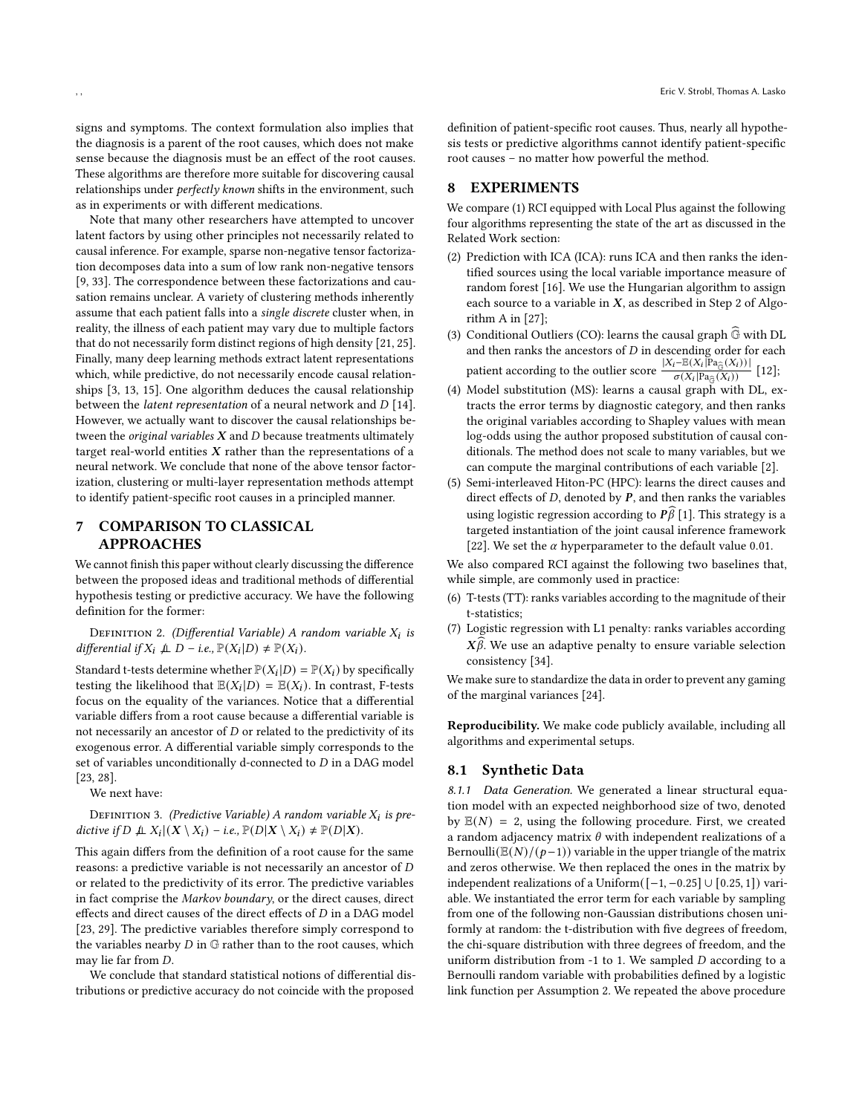signs and symptoms. The context formulation also implies that the diagnosis is a parent of the root causes, which does not make sense because the diagnosis must be an effect of the root causes. These algorithms are therefore more suitable for discovering causal relationships under *perfectly known* shifts in the environment, such as in experiments or with different medications.

Note that many other researchers have attempted to uncover latent factors by using other principles not necessarily related to causal inference. For example, sparse non-negative tensor factorization decomposes data into a sum of low rank non-negative tensors [\[9,](#page-8-13) [33\]](#page-8-14). The correspondence between these factorizations and causation remains unclear. A variety of clustering methods inherently assume that each patient falls into a single discrete cluster when, in reality, the illness of each patient may vary due to multiple factors that do not necessarily form distinct regions of high density [\[21,](#page-8-15) [25\]](#page-8-16). Finally, many deep learning methods extract latent representations which, while predictive, do not necessarily encode causal relationships [\[3,](#page-8-17) [13,](#page-8-18) [15\]](#page-8-19). One algorithm deduces the causal relationship between the *latent representation* of a neural network and  $D$  [\[14\]](#page-8-20). However, we actually want to discover the causal relationships between the original variables  $X$  and  $D$  because treatments ultimately target real-world entities  $X$  rather than the representations of a neural network. We conclude that none of the above tensor factorization, clustering or multi-layer representation methods attempt to identify patient-specific root causes in a principled manner.

# 7 COMPARISON TO CLASSICAL APPROACHES

We cannot finish this paper without clearly discussing the difference between the proposed ideas and traditional methods of differential hypothesis testing or predictive accuracy. We have the following definition for the former:

DEFINITION 2. (Differential Variable) A random variable  $X_i$  is differential if  $X_i$   $\perp \!\!\!\perp D$  – i.e.,  $\mathbb{P}(X_i|D) \neq \mathbb{P}(X_i)$ .

Standard t-tests determine whether  $\mathbb{P}(X_i|D) = \mathbb{P}(X_i)$  by specifically testing the likelihood that  $\mathbb{E}(X_i|D) = \mathbb{E}(X_i)$ . In contrast, F-tests focus on the equality of the variances. Notice that a differential variable differs from a root cause because a differential variable is not necessarily an ancestor of  $D$  or related to the predictivity of its exogenous error. A differential variable simply corresponds to the set of variables unconditionally d-connected to  $D$  in a DAG model [\[23,](#page-8-21) [28\]](#page-8-22).

We next have:

DEFINITION 3. (Predictive Variable) A random variable  $X_i$  is predictive if  $D \nightharpoonup X_i | (X \setminus X_i) - i.e., \mathbb{P}(D | X \setminus X_i) \neq \mathbb{P}(D | X).$ 

This again differs from the definition of a root cause for the same reasons: a predictive variable is not necessarily an ancestor of D or related to the predictivity of its error. The predictive variables in fact comprise the Markov boundary, or the direct causes, direct effects and direct causes of the direct effects of  $D$  in a DAG model [\[23,](#page-8-21) [29\]](#page-8-23). The predictive variables therefore simply correspond to the variables nearby  $D$  in  $G$  rather than to the root causes, which may lie far from D.

We conclude that standard statistical notions of differential distributions or predictive accuracy do not coincide with the proposed

definition of patient-specific root causes. Thus, nearly all hypothesis tests or predictive algorithms cannot identify patient-specific root causes – no matter how powerful the method.

## <span id="page-5-0"></span>8 EXPERIMENTS

We compare (1) RCI equipped with Local Plus against the following four algorithms representing the state of the art as discussed in the Related Work section:

- (2) Prediction with ICA (ICA): runs ICA and then ranks the identified sources using the local variable importance measure of random forest [\[16\]](#page-8-12). We use the Hungarian algorithm to assign each source to a variable in  $X$ , as described in Step 2 of Algorithm A in [\[27\]](#page-8-10);
- (3) Conditional Outliers (CO): learns the causal graph  $\widehat{\mathbb{G}}$  with DL and then ranks the ancestors of  $D$  in descending order for each patient according to the outlier score  $\frac{|X_i - \mathbb{E}(X_i|\text{Pa}_{\widehat{\mathbb{G}}}(X_i))|}{\sigma(X_i|\text{Pa}_{\widehat{\mathbb{G}}}(X_i))}$  [\[12\]](#page-8-5);
- (4) Model substitution (MS): learns a causal graph with DL, extracts the error terms by diagnostic category, and then ranks the original variables according to Shapley values with mean log-odds using the author proposed substitution of causal conditionals. The method does not scale to many variables, but we can compute the marginal contributions of each variable [\[2\]](#page-8-0).
- (5) Semi-interleaved Hiton-PC (HPC): learns the direct causes and direct effects of  $D$ , denoted by  $P$ , and then ranks the variables using logistic regression according to  $\widehat{P}$ [\[1\]](#page-7-0). This strategy is a targeted instantiation of the joint causal inference framework [\[22\]](#page-8-3). We set the  $\alpha$  hyperparameter to the default value 0.01.

We also compared RCI against the following two baselines that, while simple, are commonly used in practice:

- (6) T-tests (TT): ranks variables according to the magnitude of their t-statistics;
- (7) Logistic regression with L1 penalty: ranks variables according  $X\beta$ . We use an adaptive penalty to ensure variable selection consistency [\[34\]](#page-8-24).

We make sure to standardize the data in order to prevent any gaming of the marginal variances [\[24\]](#page-8-25).

Reproducibility. We make code publicly available, including all algorithms and experimental setups.

## <span id="page-5-1"></span>8.1 Synthetic Data

8.1.1 Data Generation. We generated a linear structural equation model with an expected neighborhood size of two, denoted by  $\mathbb{E}(N) = 2$ , using the following procedure. First, we created a random adjacency matrix  $\theta$  with independent realizations of a Bernoulli( $\mathbb{E}(N)/((p-1))$  variable in the upper triangle of the matrix and zeros otherwise. We then replaced the ones in the matrix by independent realizations of a Uniform( $[-1, -0.25]$  ∪  $[0.25, 1]$ ) variable. We instantiated the error term for each variable by sampling from one of the following non-Gaussian distributions chosen uniformly at random: the t-distribution with five degrees of freedom, the chi-square distribution with three degrees of freedom, and the uniform distribution from  $-1$  to 1. We sampled  $D$  according to a Bernoulli random variable with probabilities defined by a logistic link function per Assumption [2.](#page-1-4) We repeated the above procedure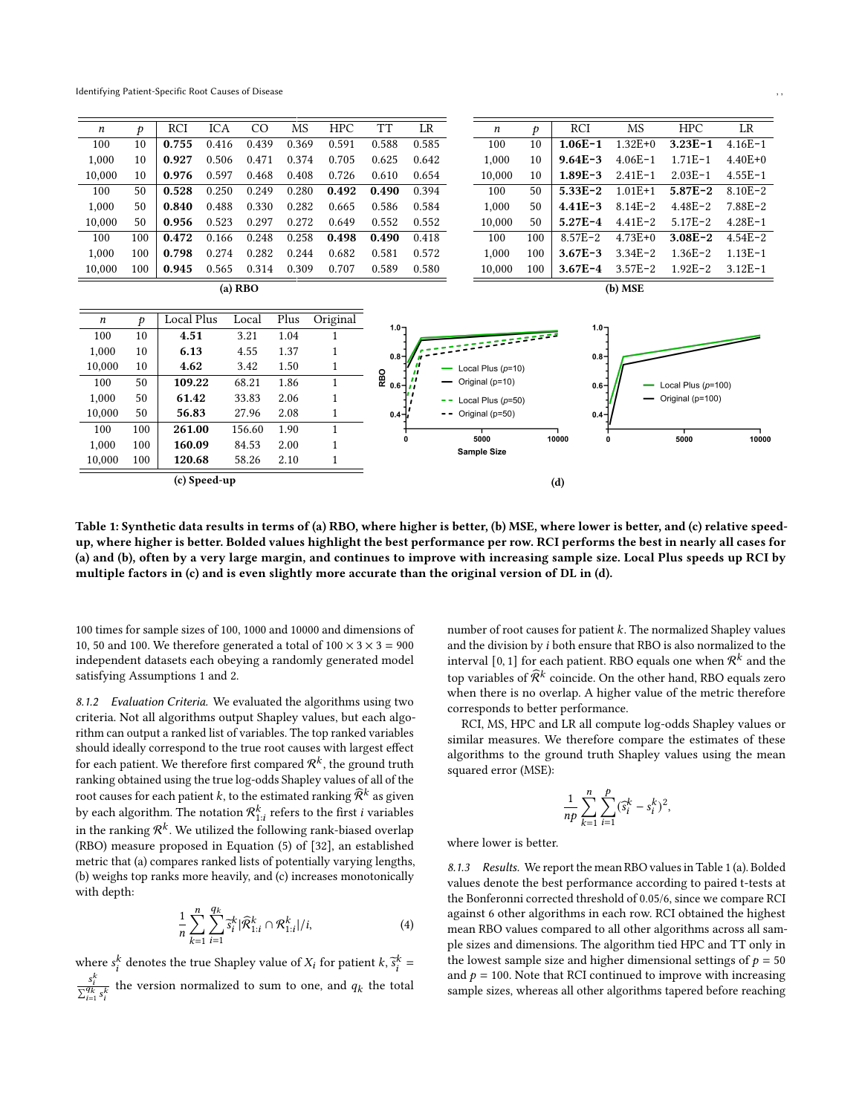Identifying Patient-Specific Root Causes of Disease

100 50 109.22 68.21 1.86 1 1,000 50 61.42 33.83 2.06 1 10,000 50 56.83 27.96 2.08 1 100 100 261.00 156.60 1.90 1

<span id="page-6-0"></span>

| $\boldsymbol{n}$ | Þ   | RCI        | ICA   | CO    | <b>MS</b> | <b>HPC</b> | TT        | LR    | n                   | D   | RCI         | <b>MS</b>   | <b>HPC</b>  | LR          |
|------------------|-----|------------|-------|-------|-----------|------------|-----------|-------|---------------------|-----|-------------|-------------|-------------|-------------|
| 100              | 10  | 0.755      | 0.416 | 0.439 | 0.369     | 0.591      | 0.588     | 0.585 | 100                 | 10  | $1.06E - 1$ | $1.32E + 0$ | $3.23E - 1$ | $4.16E - 1$ |
| 1,000            | 10  | 0.927      | 0.506 | 0.471 | 0.374     | 0.705      | 0.625     | 0.642 | 1,000               | 10  | $9.64E - 3$ | $4.06E - 1$ | $1.71E-1$   | $4.40E+0$   |
| 10,000           | 10  | 0.976      | 0.597 | 0.468 | 0.408     | 0.726      | 0.610     | 0.654 | 10.000              | 10  | $1.89E - 3$ | $2.41E-1$   | $2.03E - 1$ | $4.55E - 1$ |
| 100              | 50  | 0.528      | 0.250 | 0.249 | 0.280     | 0.492      | 0.490     | 0.394 | 100                 | 50  | $5.33E - 2$ | $1.01E + 1$ | $5.87E - 2$ | $8.10E - 2$ |
| 1,000            | 50  | 0.840      | 0.488 | 0.330 | 0.282     | 0.665      | 0.586     | 0.584 | 1,000               | 50  | $4.41E - 3$ | $8.14E - 2$ | $4.48E - 2$ | $7.88E - 2$ |
| 10,000           | 50  | 0.956      | 0.523 | 0.297 | 0.272     | 0.649      | 0.552     | 0.552 | 10,000              | 50  | $5.27E-4$   | $4.41E - 2$ | $5.17E - 2$ | $4.28E - 1$ |
| 100              | 100 | 0.472      | 0.166 | 0.248 | 0.258     | 0.498      | 0.490     | 0.418 | 100                 | 100 | $8.57E - 2$ | $4.73E + 0$ | $3.08E - 2$ | $4.54E - 2$ |
| 1,000            | 100 | 0.798      | 0.274 | 0.282 | 0.244     | 0.682      | 0.581     | 0.572 | 1,000               | 100 | $3.67E - 3$ | $3.34E - 2$ | $1.36E - 2$ | $1.13E - 1$ |
| 10,000           | 100 | 0.945      | 0.565 | 0.314 | 0.309     | 0.707      | 0.589     | 0.580 | 10,000              | 100 | $3.67E - 4$ | $3.57E - 2$ | $1.92E - 2$ | $3.12E - 1$ |
| $(a)$ RBO        |     |            |       |       |           |            | $(b)$ MSE |       |                     |     |             |             |             |             |
|                  |     |            |       |       |           |            |           |       |                     |     |             |             |             |             |
| n                | Þ   | Local Plus |       | Local | Plus      | Original   | $1.0 -$   |       |                     |     | $1.0 -$     |             |             |             |
| 100              | 10  | 4.51       |       | 3.21  | 1.04      |            |           |       |                     |     |             |             |             |             |
| 1,000            | 10  | 6.13       |       | 4.55  | 1.37      |            | $0.8 -$   |       |                     |     | $0.8 -$     |             |             |             |
| 10,000           | 10  | 4.62       |       | 3.42  | 1.50      |            | C.        |       | Local Plus $(p=10)$ |     |             |             |             |             |



ocal Plus (p=10) Original (p=10)

Local Plus (p=50) Original (p=50)

100 times for sample sizes of 100, 1000 and 10000 and dimensions of 10, 50 and 100. We therefore generated a total of  $100 \times 3 \times 3 = 900$ 

multiple factors in (c) and is even slightly more accurate than the original version of DL in (d).

8.1.2 Evaluation Criteria. We evaluated the algorithms using two criteria. Not all algorithms output Shapley values, but each algorithm can output a ranked list of variables. The top ranked variables should ideally correspond to the true root causes with largest effect for each patient. We therefore first compared  $\mathcal{R}^k$ , the ground truth ranking obtained using the true log-odds Shapley values of all of the root causes for each patient k, to the estimated ranking  $\widehat{R}^k$  as given by each algorithm. The notation  $\mathcal{R}_{1:i}^k$  refers to the first *i* variables in the ranking  $\mathcal{R}^k$ . We utilized the following rank-biased overlap (RBO) measure proposed in Equation (5) of [\[32\]](#page-8-26), an established metric that (a) compares ranked lists of potentially varying lengths, (b) weighs top ranks more heavily, and (c) increases monotonically with depth:

independent datasets each obeying a randomly generated model

satisfying Assumptions [1](#page-1-3) and [2.](#page-1-4)

<span id="page-6-1"></span>
$$
\frac{1}{n}\sum_{k=1}^{n}\sum_{i=1}^{q_k}\tilde{s}_i^k|\widehat{\mathcal{R}}_{1:i}^k \cap \mathcal{R}_{1:i}^k|/i,
$$
\n(4)

where  $s_i^k$  denotes the true Shapley value of  $X_i$  for patient  $k$ ,  $\overline{s}_i^k =$  $\frac{s_i^k}{\sum_{i=1}^{q_k} s_i^k}$  the version normalized to sum to one, and  $q_k$  the total number of root causes for patient  $k$ . The normalized Shapley values and the division by  $i$  both ensure that RBO is also normalized to the interval [0, 1] for each patient. RBO equals one when  $\mathcal{R}^k$  and the top variables of  $\widehat{\mathcal{R}}^k$  coincide. On the other hand, RBO equals zero when there is no overlap. A higher value of the metric therefore corresponds to better performance.

Local Plus  $(p=100)$ Original (p=100)

RCI, MS, HPC and LR all compute log-odds Shapley values or similar measures. We therefore compare the estimates of these algorithms to the ground truth Shapley values using the mean squared error (MSE):

$$
\frac{1}{np} \sum_{k=1}^{n} \sum_{i=1}^{p} (\hat{s}_i^k - s_i^k)^2,
$$

where lower is better.

8.1.3 Results. We report the mean RBO values in Table [1 \(a\).](#page-6-0) Bolded values denote the best performance according to paired t-tests at the Bonferonni corrected threshold of 0.05/6, since we compare RCI against 6 other algorithms in each row. RCI obtained the highest mean RBO values compared to all other algorithms across all sample sizes and dimensions. The algorithm tied HPC and TT only in the lowest sample size and higher dimensional settings of  $p = 50$ and  $p = 100$ . Note that RCI continued to improve with increasing sample sizes, whereas all other algorithms tapered before reaching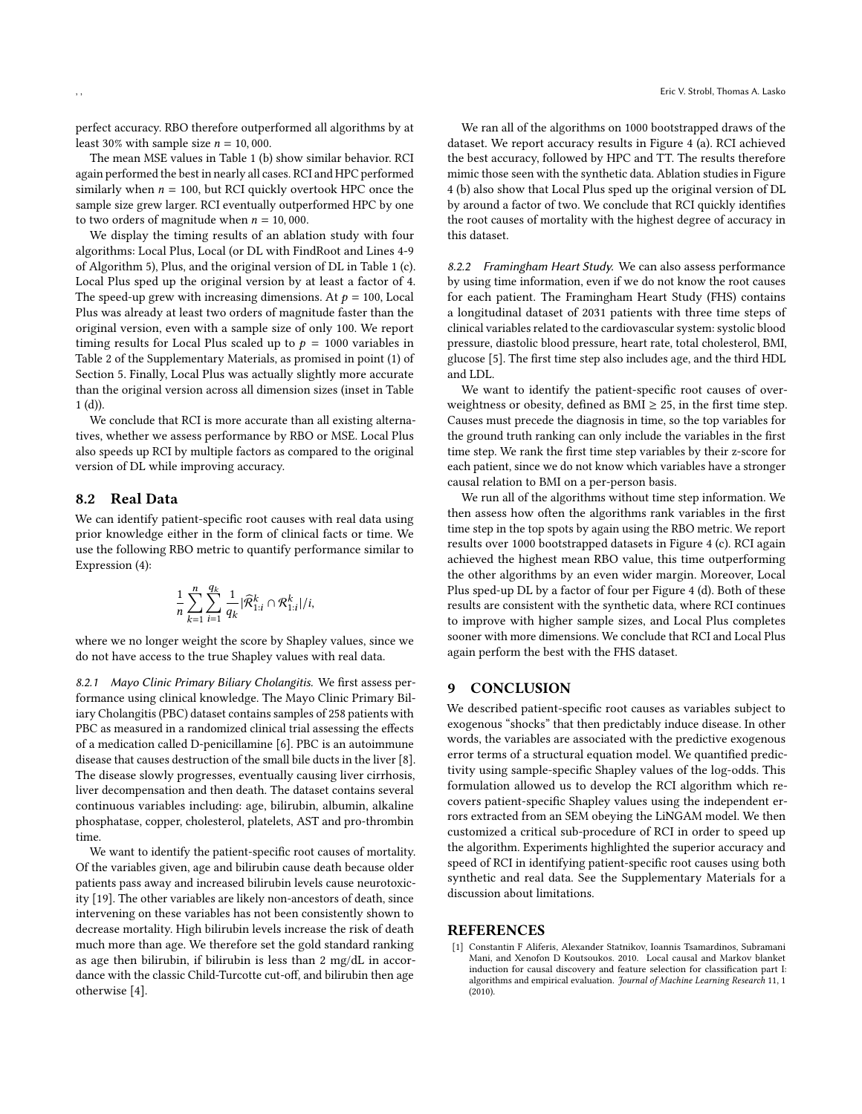perfect accuracy. RBO therefore outperformed all algorithms by at least 30% with sample size  $n = 10,000$ .

The mean MSE values in Table [1 \(b\)](#page-6-0) show similar behavior. RCI again performed the best in nearly all cases. RCI and HPC performed similarly when  $n = 100$ , but RCI quickly overtook HPC once the sample size grew larger. RCI eventually outperformed HPC by one to two orders of magnitude when  $n = 10,000$ .

We display the timing results of an ablation study with four algorithms: Local Plus, Local (or DL with FindRoot and Lines [4-](#page-4-9)[9](#page-4-10) of Algorithm [5\)](#page-4-8), Plus, and the original version of DL in Table [1 \(c\).](#page-6-0) Local Plus sped up the original version by at least a factor of 4. The speed-up grew with increasing dimensions. At  $p = 100$ , Local Plus was already at least two orders of magnitude faster than the original version, even with a sample size of only 100. We report timing results for Local Plus scaled up to  $p = 1000$  variables in Table [2](#page-9-0) of the Supplementary Materials, as promised in point (1) of Section [5.](#page-2-1) Finally, Local Plus was actually slightly more accurate than the original version across all dimension sizes (inset in Table  $1(d)$ ).

We conclude that RCI is more accurate than all existing alternatives, whether we assess performance by RBO or MSE. Local Plus also speeds up RCI by multiple factors as compared to the original version of DL while improving accuracy.

## 8.2 Real Data

We can identify patient-specific root causes with real data using prior knowledge either in the form of clinical facts or time. We use the following RBO metric to quantify performance similar to Expression [\(4\)](#page-6-1):

$$
\frac{1}{n}\sum_{k=1}^{n}\sum_{i=1}^{q_k}\frac{1}{q_k}|\widehat{\mathcal{R}}_{1:i}^k \cap \mathcal{R}_{1:i}^k|/i,
$$

where we no longer weight the score by Shapley values, since we do not have access to the true Shapley values with real data.

8.2.1 Mayo Clinic Primary Biliary Cholangitis. We first assess performance using clinical knowledge. The Mayo Clinic Primary Biliary Cholangitis (PBC) dataset contains samples of 258 patients with PBC as measured in a randomized clinical trial assessing the effects of a medication called D-penicillamine [\[6\]](#page-8-27). PBC is an autoimmune disease that causes destruction of the small bile ducts in the liver [\[8\]](#page-8-28). The disease slowly progresses, eventually causing liver cirrhosis, liver decompensation and then death. The dataset contains several continuous variables including: age, bilirubin, albumin, alkaline phosphatase, copper, cholesterol, platelets, AST and pro-thrombin time.

We want to identify the patient-specific root causes of mortality. Of the variables given, age and bilirubin cause death because older patients pass away and increased bilirubin levels cause neurotoxicity [\[19\]](#page-8-29). The other variables are likely non-ancestors of death, since intervening on these variables has not been consistently shown to decrease mortality. High bilirubin levels increase the risk of death much more than age. We therefore set the gold standard ranking as age then bilirubin, if bilirubin is less than 2 mg/dL in accordance with the classic Child-Turcotte cut-off, and bilirubin then age otherwise [\[4\]](#page-8-30).

We ran all of the algorithms on 1000 bootstrapped draws of the dataset. We report accuracy results in Figure [4 \(a\).](#page-8-31) RCI achieved the best accuracy, followed by HPC and TT. The results therefore mimic those seen with the synthetic data. Ablation studies in Figure [4 \(b\)](#page-8-31) also show that Local Plus sped up the original version of DL by around a factor of two. We conclude that RCI quickly identifies the root causes of mortality with the highest degree of accuracy in this dataset.

8.2.2 Framingham Heart Study. We can also assess performance by using time information, even if we do not know the root causes for each patient. The Framingham Heart Study (FHS) contains a longitudinal dataset of 2031 patients with three time steps of clinical variables related to the cardiovascular system: systolic blood pressure, diastolic blood pressure, heart rate, total cholesterol, BMI, glucose [\[5\]](#page-8-32). The first time step also includes age, and the third HDL and LDL.

We want to identify the patient-specific root causes of overweightness or obesity, defined as  $BMI \geq 25$ , in the first time step. Causes must precede the diagnosis in time, so the top variables for the ground truth ranking can only include the variables in the first time step. We rank the first time step variables by their z-score for each patient, since we do not know which variables have a stronger causal relation to BMI on a per-person basis.

We run all of the algorithms without time step information. We then assess how often the algorithms rank variables in the first time step in the top spots by again using the RBO metric. We report results over 1000 bootstrapped datasets in Figure [4 \(c\).](#page-8-31) RCI again achieved the highest mean RBO value, this time outperforming the other algorithms by an even wider margin. Moreover, Local Plus sped-up DL by a factor of four per Figure [4 \(d\).](#page-8-31) Both of these results are consistent with the synthetic data, where RCI continues to improve with higher sample sizes, and Local Plus completes sooner with more dimensions. We conclude that RCI and Local Plus again perform the best with the FHS dataset.

# 9 CONCLUSION

We described patient-specific root causes as variables subject to exogenous "shocks" that then predictably induce disease. In other words, the variables are associated with the predictive exogenous error terms of a structural equation model. We quantified predictivity using sample-specific Shapley values of the log-odds. This formulation allowed us to develop the RCI algorithm which recovers patient-specific Shapley values using the independent errors extracted from an SEM obeying the LiNGAM model. We then customized a critical sub-procedure of RCI in order to speed up the algorithm. Experiments highlighted the superior accuracy and speed of RCI in identifying patient-specific root causes using both synthetic and real data. See the Supplementary Materials for a discussion about limitations.

## **REFERENCES**

<span id="page-7-0"></span>[1] Constantin F Aliferis, Alexander Statnikov, Ioannis Tsamardinos, Subramani Mani, and Xenofon D Koutsoukos. 2010. Local causal and Markov blanket induction for causal discovery and feature selection for classification part I: algorithms and empirical evaluation. Journal of Machine Learning Research 11, 1 (2010).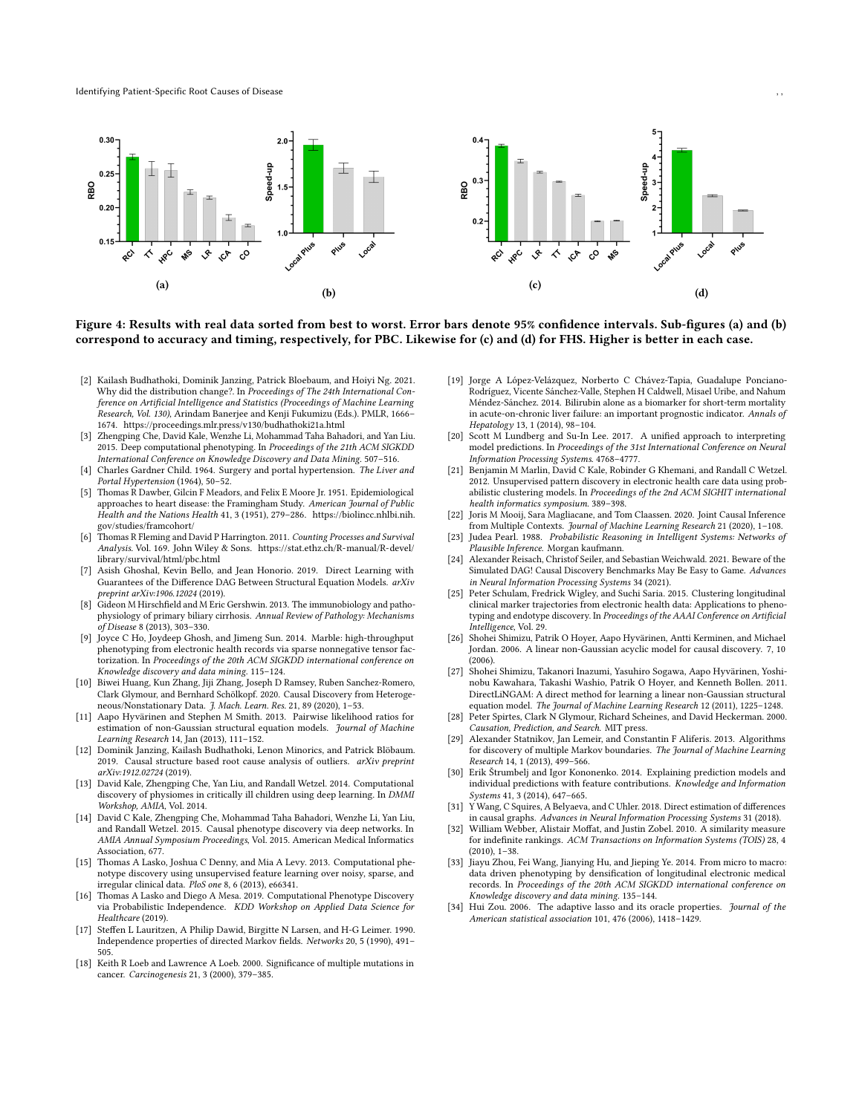<span id="page-8-31"></span>

Figure 4: Results with real data sorted from best to worst. Error bars denote 95% confidence intervals. Sub-figures (a) and (b) correspond to accuracy and timing, respectively, for PBC. Likewise for (c) and (d) for FHS. Higher is better in each case.

- <span id="page-8-0"></span>[2] Kailash Budhathoki, Dominik Janzing, Patrick Bloebaum, and Hoiyi Ng. 2021. Why did the distribution change?. In Proceedings of The 24th International Conference on Artificial Intelligence and Statistics (Proceedings of Machine Learning Research, Vol. 130), Arindam Banerjee and Kenji Fukumizu (Eds.). PMLR, 1666– 1674.<https://proceedings.mlr.press/v130/budhathoki21a.html>
- <span id="page-8-17"></span>Zhengping Che, David Kale, Wenzhe Li, Mohammad Taha Bahadori, and Yan Liu. 2015. Deep computational phenotyping. In Proceedings of the 21th ACM SIGKDD International Conference on Knowledge Discovery and Data Mining. 507–516.
- <span id="page-8-30"></span>[4] Charles Gardner Child. 1964. Surgery and portal hypertension. The Liver and Portal Hypertension (1964), 50–52.
- <span id="page-8-32"></span>[5] Thomas R Dawber, Gilcin F Meadors, and Felix E Moore Jr. 1951. Epidemiological approaches to heart disease: the Framingham Study. American Journal of Public Health and the Nations Health 41, 3 (1951), 279–286. [https://biolincc.nhlbi.nih.](https://biolincc.nhlbi.nih.gov/studies/framcohort/) [gov/studies/framcohort/](https://biolincc.nhlbi.nih.gov/studies/framcohort/)
- <span id="page-8-27"></span>[6] Thomas R Fleming and David P Harrington. 2011. Counting Processes and Survival Analysis. Vol. 169. John Wiley & Sons. [https://stat.ethz.ch/R-manual/R-devel/](https://stat.ethz.ch/R-manual/R-devel/library/survival/html/pbc.html) [library/survival/html/pbc.html](https://stat.ethz.ch/R-manual/R-devel/library/survival/html/pbc.html)
- <span id="page-8-1"></span>Asish Ghoshal, Kevin Bello, and Jean Honorio. 2019. Direct Learning with Guarantees of the Difference DAG Between Structural Equation Models. arXiv preprint arXiv:1906.12024 (2019).
- <span id="page-8-28"></span>[8] Gideon M Hirschfield and M Eric Gershwin. 2013. The immunobiology and pathophysiology of primary biliary cirrhosis. Annual Review of Pathology: Mechanisms of Disease 8 (2013), 303–330.
- <span id="page-8-13"></span>[9] Joyce C Ho, Joydeep Ghosh, and Jimeng Sun. 2014. Marble: high-throughput phenotyping from electronic health records via sparse nonnegative tensor factorization. In Proceedings of the 20th ACM SIGKDD international conference on Knowledge discovery and data mining. 115–124.
- <span id="page-8-2"></span>[10] Biwei Huang, Kun Zhang, Jiji Zhang, Joseph D Ramsey, Ruben Sanchez-Romero, Clark Glymour, and Bernhard Schölkopf. 2020. Causal Discovery from Heterogeneous/Nonstationary Data. J. Mach. Learn. Res. 21, 89 (2020), 1–53.
- <span id="page-8-11"></span>[11] Aapo Hyvärinen and Stephen M Smith. 2013. Pairwise likelihood ratios for estimation of non-Gaussian structural equation models. Journal of Machine Learning Research 14, Jan (2013), 111–152.
- <span id="page-8-5"></span>[12] Dominik Janzing, Kailash Budhathoki, Lenon Minorics, and Patrick Blöbaum. 2019. Causal structure based root cause analysis of outliers. arXiv preprint arXiv:1912.02724 (2019).
- <span id="page-8-18"></span>[13] David Kale, Zhengping Che, Yan Liu, and Randall Wetzel. 2014. Computational discovery of physiomes in critically ill children using deep learning. In DMMI Workshop, AMIA, Vol. 2014.
- <span id="page-8-20"></span>[14] David C Kale, Zhengping Che, Mohammad Taha Bahadori, Wenzhe Li, Yan Liu, and Randall Wetzel. 2015. Causal phenotype discovery via deep networks. In AMIA Annual Symposium Proceedings, Vol. 2015. American Medical Informatics Association, 677.
- <span id="page-8-19"></span>[15] Thomas A Lasko, Joshua C Denny, and Mia A Levy. 2013. Computational phenotype discovery using unsupervised feature learning over noisy, sparse, and irregular clinical data. PloS one 8, 6 (2013), e66341.
- <span id="page-8-12"></span>[16] Thomas A Lasko and Diego A Mesa. 2019. Computational Phenotype Discovery via Probabilistic Independence. KDD Workshop on Applied Data Science for Healthcare (2019).
- <span id="page-8-33"></span>[17] Steffen L Lauritzen, A Philip Dawid, Birgitte N Larsen, and H-G Leimer. 1990. Independence properties of directed Markov fields. Networks 20, 5 (1990), 491– 505.
- <span id="page-8-7"></span>[18] Keith R Loeb and Lawrence A Loeb. 2000. Significance of multiple mutations in cancer. Carcinogenesis 21, 3 (2000), 379–385.
- <span id="page-8-29"></span>[19] Jorge A López-Velázquez, Norberto C Chávez-Tapia, Guadalupe Ponciano-Rodríguez, Vicente Sánchez-Valle, Stephen H Caldwell, Misael Uribe, and Nahum Méndez-Sánchez. 2014. Bilirubin alone as a biomarker for short-term mortality in acute-on-chronic liver failure: an important prognostic indicator. Annals of Hepatology 13, 1 (2014), 98–104.
- <span id="page-8-8"></span>[20] Scott M Lundberg and Su-In Lee. 2017. A unified approach to interpreting model predictions. In Proceedings of the 31st International Conference on Neural Information Processing Systems. 4768–4777.
- <span id="page-8-15"></span>[21] Benjamin M Marlin, David C Kale, Robinder G Khemani, and Randall C Wetzel. 2012. Unsupervised pattern discovery in electronic health care data using probabilistic clustering models. In Proceedings of the 2nd ACM SIGHIT international health informatics symposium. 389–398.
- <span id="page-8-3"></span>[22] Joris M Mooij, Sara Magliacane, and Tom Claassen. 2020. Joint Causal Inference from Multiple Contexts. Journal of Machine Learning Research 21 (2020), 1-108.
- <span id="page-8-21"></span>[23] Judea Pearl. 1988. Probabilistic Reasoning in Intelligent Systems: Networks of Plausible Inference. Morgan kaufmann.
- <span id="page-8-25"></span>[24] Alexander Reisach, Christof Seiler, and Sebastian Weichwald. 2021. Beware of the Simulated DAG! Causal Discovery Benchmarks May Be Easy to Game. Advances in Neural Information Processing Systems 34 (2021).
- <span id="page-8-16"></span>[25] Peter Schulam, Fredrick Wigley, and Suchi Saria. 2015. Clustering longitudinal clinical marker trajectories from electronic health data: Applications to phenotyping and endotype discovery. In Proceedings of the AAAI Conference on Artificial Intelligence, Vol. 29.
- <span id="page-8-6"></span>[26] Shohei Shimizu, Patrik O Hoyer, Aapo Hyvärinen, Antti Kerminen, and Michael Jordan. 2006. A linear non-Gaussian acyclic model for causal discovery. 7, 10  $(2006)$
- <span id="page-8-10"></span>[27] Shohei Shimizu, Takanori Inazumi, Yasuhiro Sogawa, Aapo Hyvärinen, Yoshinobu Kawahara, Takashi Washio, Patrik O Hoyer, and Kenneth Bollen. 2011. DirectLiNGAM: A direct method for learning a linear non-Gaussian structural equation model. The Journal of Machine Learning Research 12 (2011), 1225–1248.
- <span id="page-8-22"></span>[28] Peter Spirtes, Clark N Glymour, Richard Scheines, and David Heckerman. 2000. Causation, Prediction, and Search. MIT press.
- <span id="page-8-23"></span>[29] Alexander Statnikov, Jan Lemeir, and Constantin F Aliferis. 2013. Algorithms for discovery of multiple Markov boundaries. The Journal of Machine Learning Research 14, 1 (2013), 499–566.
- <span id="page-8-9"></span>[30] Erik Štrumbelj and Igor Kononenko. 2014. Explaining prediction models and individual predictions with feature contributions. Knowledge and Information Systems 41, 3 (2014), 647–665.
- <span id="page-8-4"></span>[31] Y Wang, C Squires, A Belyaeva, and C Uhler. 2018. Direct estimation of differences in causal graphs. Advances in Neural Information Processing Systems 31 (2018).
- <span id="page-8-26"></span>[32] William Webber, Alistair Moffat, and Justin Zobel. 2010. A similarity measure for indefinite rankings. ACM Transactions on Information Systems (TOIS) 28, 4 (2010), 1–38.
- <span id="page-8-14"></span>[33] Jiayu Zhou, Fei Wang, Jianying Hu, and Jieping Ye. 2014. From micro to macro: data driven phenotyping by densification of longitudinal electronic medical records. In Proceedings of the 20th ACM SIGKDD international conference on Knowledge discovery and data mining. 135–144.
- <span id="page-8-24"></span>[34] Hui Zou. 2006. The adaptive lasso and its oracle properties. Journal of the American statistical association 101, 476 (2006), 1418–1429.